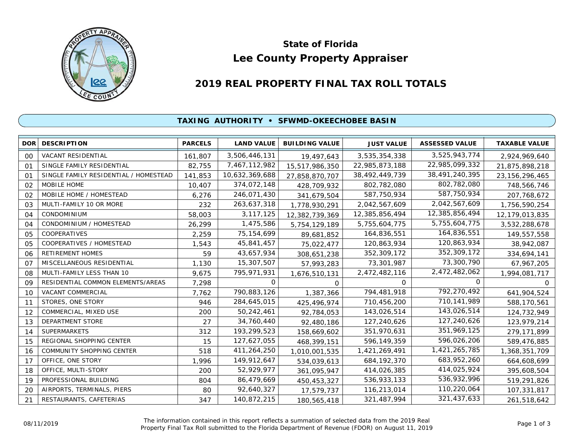

# **Lee County Property Appraiser State of Florida**

# **2019 REAL PROPERTY FINAL TAX ROLL TOTALS**

#### **TAXING AUTHORITY • SFWMD-OKEECHOBEE BASIN**

| <b>DOR</b>     | <b>DESCRIPTION</b>                    | <b>PARCELS</b> | <b>LAND VALUE</b> | <b>BUILDING VALUE</b> | <b>JUST VALUE</b> | <b>ASSESSED VALUE</b> | <b>TAXABLE VALUE</b> |
|----------------|---------------------------------------|----------------|-------------------|-----------------------|-------------------|-----------------------|----------------------|
| 00             | VACANT RESIDENTIAL                    | 161,807        | 3,506,446,131     | 19,497,643            | 3,535,354,338     | 3,525,943,774         | 2,924,969,640        |
| O <sub>1</sub> | SINGLE FAMILY RESIDENTIAL             | 82,755         | 7,467,112,982     | 15,517,986,350        | 22,985,873,188    | 22,985,099,332        | 21,875,898,218       |
| O <sub>1</sub> | SINGLE FAMILY RESIDENTIAL / HOMESTEAD | 141,853        | 10,632,369,688    | 27,858,870,707        | 38,492,449,739    | 38,491,240,395        | 23, 156, 296, 465    |
| 02             | <b>MOBILE HOME</b>                    | 10,407         | 374,072,148       | 428,709,932           | 802,782,080       | 802,782,080           | 748,566,746          |
| 02             | MOBILE HOME / HOMESTEAD               | 6,276          | 246,071,430       | 341,679,504           | 587,750,934       | 587,750,934           | 207,768,672          |
| 03             | MULTI-FAMILY 10 OR MORE               | 232            | 263,637,318       | 1,778,930,291         | 2,042,567,609     | 2,042,567,609         | 1,756,590,254        |
| 04             | CONDOMINIUM                           | 58,003         | 3, 117, 125       | 12,382,739,369        | 12,385,856,494    | 12,385,856,494        | 12,179,013,835       |
| 04             | CONDOMINIUM / HOMESTEAD               | 26,299         | 1,475,586         | 5,754,129,189         | 5,755,604,775     | 5,755,604,775         | 3,532,288,678        |
| 05             | COOPERATIVES                          | 2,259          | 75, 154, 699      | 89,681,852            | 164,836,551       | 164,836,551           | 149,557,558          |
| 05             | COOPERATIVES / HOMESTEAD              | 1,543          | 45,841,457        | 75,022,477            | 120,863,934       | 120,863,934           | 38,942,087           |
| 06             | <b>RETIREMENT HOMES</b>               | 59             | 43,657,934        | 308,651,238           | 352,309,172       | 352,309,172           | 334,694,141          |
| 07             | MISCELLANEOUS RESIDENTIAL             | 1,130          | 15,307,507        | 57,993,283            | 73,301,987        | 73,300,790            | 67,967,205           |
| 08             | MULTI-FAMILY LESS THAN 10             | 9,675          | 795,971,931       | 1,676,510,131         | 2,472,482,116     | 2,472,482,062         | 1,994,081,717        |
| 09             | RESIDENTIAL COMMON ELEMENTS/AREAS     | 7,298          | 0                 | 0                     | 0                 | $\Omega$              | <sup>o</sup>         |
| 10             | VACANT COMMERCIAL                     | 7,762          | 790,883,126       | 1,387,366             | 794,481,918       | 792,270,492           | 641,904,524          |
| 11             | STORES, ONE STORY                     | 946            | 284,645,015       | 425,496,974           | 710,456,200       | 710,141,989           | 588,170,561          |
| 12             | COMMERCIAL, MIXED USE                 | 200            | 50,242,461        | 92,784,053            | 143,026,514       | 143,026,514           | 124,732,949          |
| 13             | <b>DEPARTMENT STORE</b>               | 27             | 34,760,440        | 92,480,186            | 127,240,626       | 127,240,626           | 123,979,214          |
| 14             | <b>SUPERMARKETS</b>                   | 312            | 193,299,523       | 158,669,602           | 351,970,631       | 351,969,125           | 279,171,899          |
| 15             | REGIONAL SHOPPING CENTER              | 15             | 127,627,055       | 468,399,151           | 596,149,359       | 596,026,206           | 589,476,885          |
| 16             | COMMUNITY SHOPPING CENTER             | 518            | 411,264,250       | 1,010,001,535         | 1,421,269,491     | 1,421,265,785         | 1,368,351,709        |
| 17             | OFFICE, ONE STORY                     | 1,996          | 149,912,647       | 534,039,613           | 684, 192, 370     | 683,952,260           | 664,608,699          |
| 18             | OFFICE, MULTI-STORY                   | 200            | 52,929,977        | 361,095,947           | 414,026,385       | 414,025,924           | 395,608,504          |
| 19             | PROFESSIONAL BUILDING                 | 804            | 86,479,669        | 450,453,327           | 536,933,133       | 536,932,996           | 519,291,826          |
| 20             | AIRPORTS, TERMINALS, PIERS            | 80             | 92,640,327        | 17,579,737            | 116,213,014       | 110,220,064           | 107,331,817          |
| 21             | RESTAURANTS, CAFETERIAS               | 347            | 140,872,215       | 180,565,418           | 321,487,994       | 321,437,633           | 261,518,642          |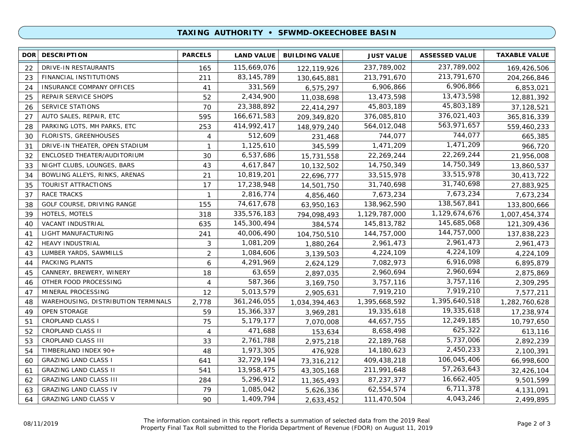## **TAXING AUTHORITY • SFWMD-OKEECHOBEE BASIN**

| <b>DOR</b> | <b>DESCRIPTION</b>                  | <b>PARCELS</b> | <b>LAND VALUE</b> | <b>BUILDING VALUE</b> | <b>JUST VALUE</b> | <b>ASSESSED VALUE</b> | <b>TAXABLE VALUE</b> |
|------------|-------------------------------------|----------------|-------------------|-----------------------|-------------------|-----------------------|----------------------|
| 22         | DRIVE-IN RESTAURANTS                | 165            | 115,669,076       | 122,119,926           | 237,789,002       | 237,789,002           | 169,426,506          |
| 23         | FINANCIAL INSTITUTIONS              | 211            | 83, 145, 789      | 130,645,881           | 213,791,670       | 213,791,670           | 204,266,846          |
| 24         | <b>INSURANCE COMPANY OFFICES</b>    | 41             | 331,569           | 6,575,297             | 6,906,866         | 6,906,866             | 6,853,021            |
| 25         | REPAIR SERVICE SHOPS                | 52             | 2,434,900         | 11,038,698            | 13,473,598        | 13,473,598            | 12,881,392           |
| 26         | <b>SERVICE STATIONS</b>             | 70             | 23,388,892        | 22,414,297            | 45,803,189        | 45,803,189            | 37,128,521           |
| 27         | AUTO SALES, REPAIR, ETC             | 595            | 166,671,583       | 209,349,820           | 376,085,810       | 376,021,403           | 365,816,339          |
| 28         | PARKING LOTS, MH PARKS, ETC         | 253            | 414,992,417       | 148,979,240           | 564,012,048       | 563,971,657           | 559,460,233          |
| 30         | FLORISTS, GREENHOUSES               | 4              | 512,609           | 231,468               | 744,077           | 744,077               | 665,385              |
| 31         | DRIVE-IN THEATER, OPEN STADIUM      | $\mathbf{1}$   | 1,125,610         | 345,599               | 1,471,209         | 1,471,209             | 966,720              |
| 32         | ENCLOSED THEATER/AUDITORIUM         | 30             | 6,537,686         | 15,731,558            | 22,269,244        | 22,269,244            | 21,956,008           |
| 33         | NIGHT CLUBS, LOUNGES, BARS          | 43             | 4,617,847         | 10,132,502            | 14,750,349        | 14,750,349            | 13,860,537           |
| 34         | BOWLING ALLEYS, RINKS, ARENAS       | 21             | 10,819,201        | 22,696,777            | 33,515,978        | 33,515,978            | 30,413,722           |
| 35         | TOURIST ATTRACTIONS                 | 17             | 17,238,948        | 14,501,750            | 31,740,698        | 31,740,698            | 27,883,925           |
| 37         | <b>RACE TRACKS</b>                  | 1              | 2,816,774         | 4,856,460             | 7,673,234         | 7,673,234             | 7,673,234            |
| 38         | GOLF COURSE, DRIVING RANGE          | 155            | 74,617,678        | 63,950,163            | 138,962,590       | 138,567,841           | 133,800,666          |
| 39         | HOTELS, MOTELS                      | 318            | 335,576,183       | 794,098,493           | 1,129,787,000     | 1,129,674,676         | 1,007,454,374        |
| 40         | <b>VACANT INDUSTRIAL</b>            | 635            | 145,300,494       | 384,574               | 145,813,782       | 145,685,068           | 121,309,436          |
| 41         | LIGHT MANUFACTURING                 | 241            | 40,006,490        | 104,750,510           | 144,757,000       | 144,757,000           | 137,838,223          |
| 42         | HEAVY INDUSTRIAL                    | 3              | 1,081,209         | 1,880,264             | 2,961,473         | 2,961,473             | 2,961,473            |
| 43         | LUMBER YARDS, SAWMILLS              | $\overline{2}$ | 1,084,606         | 3,139,503             | 4,224,109         | 4,224,109             | 4,224,109            |
| 44         | PACKING PLANTS                      | 6              | 4,291,969         | 2,624,129             | 7,082,973         | 6,916,098             | 6,895,879            |
| 45         | CANNERY, BREWERY, WINERY            | 18             | 63,659            | 2,897,035             | 2,960,694         | 2,960,694             | 2,875,869            |
| 46         | OTHER FOOD PROCESSING               | $\overline{4}$ | 587,366           | 3,169,750             | 3,757,116         | 3,757,116             | 2,309,295            |
| 47         | MINERAL PROCESSING                  | 12             | 5,013,579         | 2,905,631             | 7,919,210         | 7,919,210             | 7,577,211            |
| 48         | WAREHOUSING, DISTRIBUTION TERMINALS | 2,778          | 361,246,055       | 1,034,394,463         | 1,395,668,592     | 1,395,640,518         | 1,282,760,628        |
| 49         | <b>OPEN STORAGE</b>                 | 59             | 15,366,337        | 3,969,281             | 19,335,618        | 19,335,618            | 17,238,974           |
| 51         | <b>CROPLAND CLASS I</b>             | 75             | 5,179,177         | 7,070,008             | 44,657,755        | 12,249,185            | 10,797,650           |
| 52         | CROPLAND CLASS II                   | $\overline{4}$ | 471,688           | 153,634               | 8,658,498         | 625,322               | 613,116              |
| 53         | <b>CROPLAND CLASS III</b>           | 33             | 2,761,788         | 2,975,218             | 22,189,768        | 5,737,006             | 2,892,239            |
| 54         | TIMBERLAND INDEX 90+                | 48             | 1,973,305         | 476,928               | 14,180,623        | 2,450,233             | 2,100,391            |
| 60         | <b>GRAZING LAND CLASS I</b>         | 641            | 32,729,194        | 73,316,212            | 409,438,218       | 106,045,406           | 66,998,600           |
| 61         | <b>GRAZING LAND CLASS II</b>        | 541            | 13,958,475        | 43,305,168            | 211,991,648       | 57,263,643            | 32,426,104           |
| 62         | <b>GRAZING LAND CLASS III</b>       | 284            | 5,296,912         | 11,365,493            | 87,237,377        | 16,662,405            | 9,501,599            |
| 63         | <b>GRAZING LAND CLASS IV</b>        | 79             | 1,085,042         | 5,626,336             | 62,554,574        | 6,711,378             | 4,131,091            |
| 64         | <b>GRAZING LAND CLASS V</b>         | 90             | 1,409,794         | 2,633,452             | 111,470,504       | 4,043,246             | 2.499.895            |